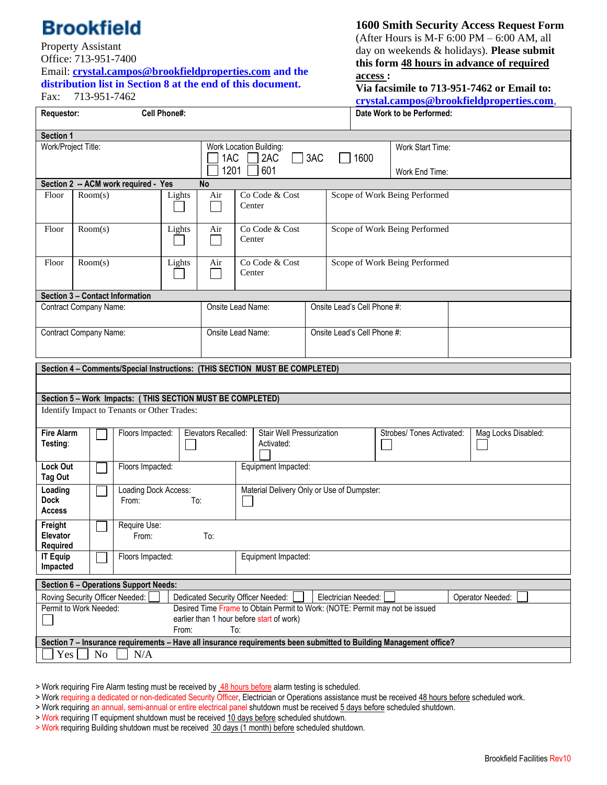## **Brookfield**

## Property Assistant

Office: 713-951-7400

Email: **[crystal.campos@brookfieldproperties.com](mailto:crystal.campos@brookfieldproperties.com) and the distribution list in Section 8 at the end of this document.** Fax: 713-951-7462

**1600 Smith Security Access Request Form**

(After Hours is M-F  $6:00$  PM  $-6:00$  AM, all day on weekends & holidays). **Please submit this form 48 hours in advance of required access :**

**Via facsimile to 713-951-7462 or Email to: [crystal.campos@brookfieldproperties.com](mailto:crystal.campos@brookfieldproperties.com)**,

|                                                                             |                   |                                         |                                      |              |                                    |                                                             |                                                                                                                           |  |                               |      |                                                                                                                    |  | crystal.campos@brookiieidproperties.com |  |
|-----------------------------------------------------------------------------|-------------------|-----------------------------------------|--------------------------------------|--------------|------------------------------------|-------------------------------------------------------------|---------------------------------------------------------------------------------------------------------------------------|--|-------------------------------|------|--------------------------------------------------------------------------------------------------------------------|--|-----------------------------------------|--|
| Requestor:                                                                  |                   |                                         |                                      | Cell Phone#: |                                    | Date Work to be Performed:                                  |                                                                                                                           |  |                               |      |                                                                                                                    |  |                                         |  |
| Section 1                                                                   |                   |                                         |                                      |              |                                    |                                                             |                                                                                                                           |  |                               |      |                                                                                                                    |  |                                         |  |
| Work/Project Title:                                                         |                   |                                         |                                      |              |                                    | Work Location Building:<br>3AC<br>1AC<br>2AC<br>1201<br>601 |                                                                                                                           |  |                               | 1600 | Work Start Time:<br>Work End Time:                                                                                 |  |                                         |  |
|                                                                             |                   |                                         | Section 2 -- ACM work required - Yes |              | No                                 |                                                             |                                                                                                                           |  |                               |      |                                                                                                                    |  |                                         |  |
| Floor                                                                       | Room(s)<br>Lights |                                         |                                      |              | Air                                | Co Code & Cost<br>Center                                    |                                                                                                                           |  | Scope of Work Being Performed |      |                                                                                                                    |  |                                         |  |
| Floor                                                                       |                   | Room(s)<br>Lights                       |                                      |              | Air                                | Center                                                      | Co Code & Cost                                                                                                            |  | Scope of Work Being Performed |      |                                                                                                                    |  |                                         |  |
| Floor                                                                       |                   | Room(s)<br>Lights                       |                                      |              | Air                                | Center                                                      | Co Code & Cost                                                                                                            |  | Scope of Work Being Performed |      |                                                                                                                    |  |                                         |  |
| Section 3 - Contact Information                                             |                   |                                         |                                      |              |                                    |                                                             |                                                                                                                           |  |                               |      |                                                                                                                    |  |                                         |  |
| <b>Contract Company Name:</b>                                               |                   |                                         |                                      |              |                                    | Onsite Lead Name:                                           |                                                                                                                           |  | Onsite Lead's Cell Phone #:   |      |                                                                                                                    |  |                                         |  |
| Contract Company Name:                                                      |                   |                                         |                                      |              | Onsite Lead Name:                  |                                                             |                                                                                                                           |  | Onsite Lead's Cell Phone #:   |      |                                                                                                                    |  |                                         |  |
| Section 4 - Comments/Special Instructions: (THIS SECTION MUST BE COMPLETED) |                   |                                         |                                      |              |                                    |                                                             |                                                                                                                           |  |                               |      |                                                                                                                    |  |                                         |  |
|                                                                             |                   |                                         |                                      |              |                                    |                                                             |                                                                                                                           |  |                               |      |                                                                                                                    |  |                                         |  |
|                                                                             |                   |                                         |                                      |              |                                    |                                                             |                                                                                                                           |  |                               |      |                                                                                                                    |  |                                         |  |
| Section 5 - Work Impacts: (THIS SECTION MUST BE COMPLETED)                  |                   |                                         |                                      |              |                                    |                                                             |                                                                                                                           |  |                               |      |                                                                                                                    |  |                                         |  |
| Identify Impact to Tenants or Other Trades:                                 |                   |                                         |                                      |              |                                    |                                                             |                                                                                                                           |  |                               |      |                                                                                                                    |  |                                         |  |
| <b>Fire Alarm</b><br>Testing:                                               |                   | Floors Impacted:                        |                                      |              | Elevators Recalled:                |                                                             | Stair Well Pressurization<br>Activated:                                                                                   |  |                               |      | Strobes/ Tones Activated:                                                                                          |  | Mag Locks Disabled:                     |  |
| <b>Lock Out</b><br>Tag Out                                                  |                   |                                         | Floors Impacted:                     |              |                                    | Equipment Impacted:                                         |                                                                                                                           |  |                               |      |                                                                                                                    |  |                                         |  |
| Loading<br><b>Dock</b><br><b>Access</b>                                     |                   |                                         | Loading Dock Access:<br>From:        |              | To:                                | Material Delivery Only or Use of Dumpster:                  |                                                                                                                           |  |                               |      |                                                                                                                    |  |                                         |  |
| Freight<br>Elevator<br>Required                                             |                   |                                         | Require Use:<br>From:<br>To:         |              |                                    |                                                             |                                                                                                                           |  |                               |      |                                                                                                                    |  |                                         |  |
| <b>IT Equip</b><br>Impacted                                                 |                   | Floors Impacted:<br>Equipment Impacted: |                                      |              |                                    |                                                             |                                                                                                                           |  |                               |      |                                                                                                                    |  |                                         |  |
| <b>Section 6 - Operations Support Needs:</b>                                |                   |                                         |                                      |              |                                    |                                                             |                                                                                                                           |  |                               |      |                                                                                                                    |  |                                         |  |
|                                                                             |                   |                                         | Roving Security Officer Needed:      |              | Dedicated Security Officer Needed: |                                                             |                                                                                                                           |  | Electrician Needed:           |      |                                                                                                                    |  | Operator Needed:                        |  |
| Permit to Work Needed:                                                      |                   |                                         |                                      | From:        |                                    | To:                                                         | Desired Time Frame to Obtain Permit to Work: (NOTE: Permit may not be issued<br>earlier than 1 hour before start of work) |  |                               |      |                                                                                                                    |  |                                         |  |
|                                                                             |                   |                                         |                                      |              |                                    |                                                             |                                                                                                                           |  |                               |      | Section 7 - Insurance requirements - Have all insurance requirements been submitted to Building Management office? |  |                                         |  |
| Yes                                                                         |                   | No                                      | N/A                                  |              |                                    |                                                             |                                                                                                                           |  |                               |      |                                                                                                                    |  |                                         |  |

> Work requiring Fire Alarm testing must be received by 48 hours before alarm testing is scheduled.

<sup>&</sup>gt; Work requiring a dedicated or non-dedicated Security Officer, Electrician or Operations assistance must be received 48 hours before scheduled work.

<sup>&</sup>gt; Work requiring an annual, semi-annual or entire electrical panel shutdown must be received 5 days before scheduled shutdown.

<sup>&</sup>gt; Work requiring IT equipment shutdown must be received 10 days before scheduled shutdown.

<sup>&</sup>gt; Work requiring Building shutdown must be received 30 days (1 month) before scheduled shutdown.